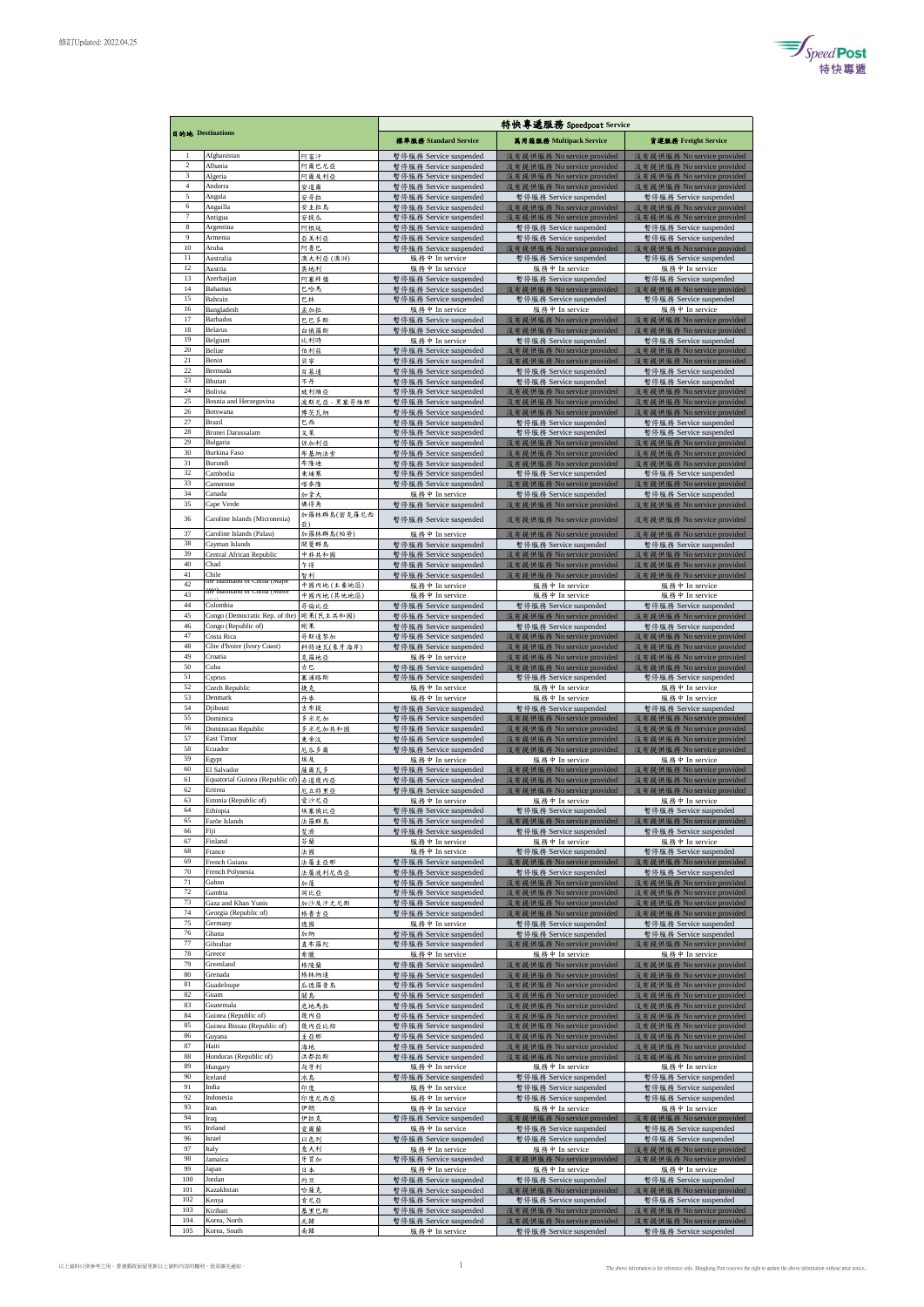

| 目的地 Destinations      |                                                     |                     | 特快專遞服務 Speedpost Service                         |                                                          |                                                          |  |
|-----------------------|-----------------------------------------------------|---------------------|--------------------------------------------------|----------------------------------------------------------|----------------------------------------------------------|--|
|                       |                                                     |                     | 標準服務 Standard Service                            | 基用箱服務 Multipack Service                                  | 貨運服務 Freight Service                                     |  |
| -1                    | Afghanistan                                         | 阿富汗                 | 暫停服務 Service suspended                           | 沒有提供服務 No service provided                               | 沒有提供服務 No service provided                               |  |
| $\,2\,$<br>3          | Albania<br>Algeria                                  | 阿爾巴尼亞<br>阿爾及利亞      | 暫停服務 Service suspended<br>暫停服務 Service suspended | 沒有提供服務 No service provided<br>沒有提供服務 No service provided | 沒有提供服務 No service provided<br>沒有提供服務 No service provided |  |
| $\overline{4}$        | Andorra                                             | 安道爾                 | 暫停服務 Service suspended                           | 沒有提供服務 No service provided                               | 沒有提供服務 No service provided                               |  |
| 5<br>6                | Angola<br>Anguilla                                  | 安哥拉<br>安圭拉島         | 暫停服務 Service suspended<br>暫停服務 Service suspended | 暫停服務 Service suspended<br>沒有提供服務 No service provided     | 暫停服務 Service suspended<br>沒有提供服務 No service provided     |  |
| $\scriptstyle\rm 7$   | Antigua                                             | 安提瓜                 | 暫停服務 Service suspended                           | 沒有提供服務 No service provided                               | 沒有提供服務 No service provided                               |  |
| 8<br>$\boldsymbol{9}$ | Argentina<br>Armenia                                | 阿根廷<br>亞美利亞         | 暫停服務 Service suspended<br>暫停服務 Service suspended | 暫停服務 Service suspended<br>暫停服務 Service suspended         | 暫停服務 Service suspended<br>暫停服務 Service suspended         |  |
| 10                    | Aruba                                               | 阿鲁巴                 | 暫停服務 Service suspended                           | 沒有提供服務 No service provided                               | 沒有提供服務 No service provided                               |  |
| 11<br>12              | Australia<br>Austria                                | 澳大利亞 (澳洲)<br>奥地利    | 服務中 In service<br>服務中 In service                 | 暫停服務 Service suspended<br>服務中 In service                 | 暫停服務 Service suspended<br>服務中 In service                 |  |
| 13                    | Azerbaijan                                          | 阿塞拜彊                | 暫停服務 Service suspended                           | 暫停服務 Service suspended                                   | 暫停服務 Service suspended                                   |  |
| 14<br>15              | Bahamas<br>Bahrain                                  | 巴哈馬<br>巴林           | 暫停服務 Service suspended<br>暫停服務 Service suspended | 沒有提供服務 No service provided<br>暫停服務 Service suspended     | 沒有提供服務 No service provided<br>暫停服務 Service suspended     |  |
| 16                    | Bangladesh                                          | 孟加拉                 | 服務中 In service                                   | 服務中 In service                                           | 服務中 In service                                           |  |
| 17<br>18              | Barbados<br>Belarus                                 | 巴巴多斯<br>白俄羅斯        | 暂停服務 Service suspended<br>暫停服務 Service suspended | 沒有提供服務 No service provided<br>沒有提供服務 No service provided | 沒有提供服務 No service provided<br>沒有提供服務 No service provided |  |
| 19                    | Belgium                                             | 比利時                 | 服務中 In service                                   | 暫停服務 Service suspended                                   | 暫停服務 Service suspended                                   |  |
| 20<br>21              | Belize<br>Benin                                     | 伯利茲<br>貝寧           | 暫停服務 Service suspended<br>暫停服務 Service suspended | 沒有提供服務 No service provided<br>沒有提供服務 No service provided | 沒有提供服務 No service provided<br>沒有提供服務 No service provided |  |
| 22                    | Bermuda                                             | 百慕達                 | 暂停服務 Service suspended                           | 暫停服務 Service suspended                                   | 暫停服務 Service suspended                                   |  |
| 23<br>24              | Bhutan<br>Bolivia                                   | 不丹<br>玻利維亞          | 暫停服務 Service suspended<br>暫停服務 Service suspended | 暫停服務 Service suspended<br>沒有提供服務 No service provided     | 暫停服務 Service suspended<br>沒有提供服務 No service provided     |  |
| 25                    | Bosnia and Herzegovina                              | 波斯尼亞 - 黑塞哥維那        | 暫停服務 Service suspended                           | 沒有提供服務 No service provided                               | 沒有提供服務 No service provided                               |  |
| 26<br>27              | Botswana<br>Brazil                                  | 博茨 瓦納<br>巴西         | 暫停服務 Service suspended<br>暫停服務 Service suspended | 沒有提供服務 No service provided<br>暫停服務 Service suspended     | 沒有提供服務 No service provided<br>暫停服務 Service suspended     |  |
| 28                    | Brunei Darussalam                                   | 文菜                  | 暫停服務 Service suspended                           | 暫停服務 Service suspended                                   | 暫停服務 Service suspended                                   |  |
| 29<br>30              | Bulgaria<br><b>Burkina Faso</b>                     | 保加利亞<br>布基纳法索       | 暫停服務 Service suspended<br>暫停服務 Service suspended | 沒有提供服務 No service provided<br>沒有提供服務 No service provided | 沒有提供服務 No service provided<br>沒有提供服務 No service provided |  |
| 31                    | Burundi                                             | 布隆迪                 | 暫停服務 Service suspended                           | 沒有提供服務 No service provided                               | 沒有提供服務 No service provided                               |  |
| 32<br>33              | Cambodia<br>Cameroon                                | 東埔寨<br>喀麥隆          | 暫停服務 Service suspended                           | 暫停服務 Service suspended<br>沒有提供服務 No service provided     | 暫停服務 Service suspended                                   |  |
| 34                    | Canada                                              | 加拿大                 | 暫停服務 Service suspended<br>服務中 In service         | 暫停服務 Service suspended                                   | 沒有提供服務 No service provided<br>暫停服務 Service suspended     |  |
| 35                    | Cape Verde                                          | 儒得角<br>加羅林群島(密克羅尼西  | 暫停服務 Service suspended                           | 沒有提供服務 No service provided                               | 沒有提供服務 No service provided                               |  |
| 36                    | Caroline Islands (Micronesia)                       |                     | 暫停服務 Service suspended                           | 沒有提供服務 No service provided                               | 沒有提供服務 No service provided                               |  |
| 37<br>38              | Caroline Islands (Palau)<br>Cayman Islands          | 加羅林群島(帕勞)<br>開曼群島   | 服務中 In service<br>暫停服務 Service suspended         | 沒有提供服務 No service provided<br>暫停服務 Service suspended     | 沒有提供服務 No service provided<br>暫停服務 Service suspended     |  |
| 39                    | Central African Republic                            | 中非共和國               | 暫停服務 Service suspended                           | 沒有提供服務 No service provided                               | 沒有提供服務 No service provided                               |  |
| 40<br>41              | Chad<br>Chile                                       | 乍得<br>智利            | 暫停服務 Service suspended<br>暫停服務 Service suspended | 沒有提供服務 No service provided<br>沒有提供服務 No service provided | 沒有提供服務 No service provided<br>沒有提供服務 No service provided |  |
| 42                    | the maintand of China (Major                        | 中國內地 (主要地區)         | 服務中 In service                                   | 服務中 In service                                           | 服務中 In service                                           |  |
| 43<br>44              | the maintand of China (Mino<br>Colombia             | 中國內地 (其他地區)<br>哥倫比亞 | 服務中 In service<br>暫停服務 Service suspended         | 服務中 In service<br>暫停服務 Service suspended                 | 服務中 In service<br>暫停服務 Service suspended                 |  |
| 45                    | Congo (Democratic Rep. of the)                      | 剛果(民主共和國)           | 暫停服務 Service suspended                           | 沒有提供服務 No service provided                               | 沒有提供服務 No service provided                               |  |
| 46<br>47              | Congo (Republic of)<br>Costa Rica                   | 剛果                  | 暫停服務 Service suspended                           | 暫停服務 Service suspended                                   | 暫停服務 Service suspended                                   |  |
| 48                    | Côte d'Ivoire (Ivory Coast)                         | 哥斯達黎加<br>科特迪瓦(象牙海岸) | 暫停服務 Service suspended<br>暫停服務 Service suspended | 沒有提供服務 No service provided<br>沒有提供服務 No service provided | 沒有提供服務 No service provided<br>沒有提供服務 No service provided |  |
| 49<br>50              | Croatia<br>Cuba                                     | 克羅地亞                | 服務中 In service                                   | 沒有提供服務 No service provided                               | 沒有提供服務 No service provided                               |  |
| 51                    | Cyprus                                              | 古巴<br>塞浦路斯          | 暫停服務 Service suspended<br>暫停服務 Service suspended | 沒有提供服務 No service provided<br>暫停服務 Service suspended     | 沒有提供服務 No service provided<br>暫停服務 Service suspended     |  |
| 52                    | Czech Republic                                      | 捷克                  | 服務中 In service                                   | 服務中 In service                                           | 服務中 In service                                           |  |
| 53<br>54              | Denmark<br>Djibouti                                 | 丹参<br>吉布提           | 服務中 In service<br>暫停服務 Service suspended         | 服務中 In service<br>暫停服務 Service suspended                 | 服務中 In service<br>暫停服務 Service suspended                 |  |
| 55                    | Dominica                                            | 多米尼加                | 暫停服務 Service suspended                           | 沒有提供服務 No service provided                               | 沒有提供服務 No service provided                               |  |
| 56<br>57              | Dominican Republic<br>East Timor                    | 多米尼加共和國<br>東帝汶      | 暫停服務 Service suspended<br>暫停服務 Service suspended | 沒有提供服務 No service provided<br>沒有提供服務 No service provided | 沒有提供服務 No service provided<br>沒有提供服務 No service provided |  |
| 58                    | Ecuador                                             | 厄瓜多爾                | 暫停服務 Service suspended                           | 沒有提供服務 No service provided                               | 沒有提供服務 No service provided                               |  |
| 59<br>60              | Egypt<br>El Salvador                                | 埃及<br>薩爾瓦多          | 服務中 In service<br>暫停服務 Service suspended         | 服務中 In service<br>沒有提供服務 No service provided             | 服務中 In service<br>沒有提供服務 No service provided             |  |
| 61                    | Equatorial Guinea (Republic of)                     | 赤道幾內亞               | 暫停服務 Service suspended                           | 沒有提供服務 No service provided                               | 沒有提供服務 No service provided                               |  |
| 62<br>63              | Eritrea<br>Estonia (Republic of)                    | 厄立特里亞<br>愛沙尼亞       | 暫停服務 Service suspended<br>服務中 In service         | 沒有提供服務 No service provided<br>服務中 In service             | 沒有提供服務 No service provided<br>服務中 In service             |  |
| 64                    | Ethiopia                                            | 埃塞俄比亞               | 暫停服務 Service suspended                           | 暫停服務 Service suspended                                   | 暫停服務 Service suspended                                   |  |
| 65<br>66              | Faröe Islands<br>Fiji                               | 法罪群岛<br>斐濟          | 暫停服務 Service suspended<br>暫停服務 Service suspended | 沒有提供服務 No service provided<br>暫停服務 Service suspended     | 沒有提供服務 No service provided<br>暫停服務 Service suspended     |  |
| 67                    | Finland                                             | 芬蘭                  | 服務中 In service                                   | 服務中 In service                                           | 服務中 In service                                           |  |
| 68<br>69              | France<br>French Guiana                             | 法国<br>法屬圭亞那         | 服務中 In service<br>暫停服務 Service suspended         | 暫停服務 Service suspended<br>沒有提供服務 No service provided     | 暫停服務 Service suspended<br>沒有提供服務 No service provided     |  |
| 70                    | French Polynesia                                    | 法屬波利尼西亞             | 暫停服務 Service suspended                           | 暫停服務 Service suspended                                   | 暫停服務 Service suspended                                   |  |
| 71<br>$72\,$          | Gabon<br>Gambia                                     | 加蓬<br>同比亞           | 暫停服務 Service suspended                           | 沒有提供服務 No service provided                               | 沒有提供服務 No service provided                               |  |
| 73                    | Gaza and Khan Yunis                                 | 加沙及汗尤尼斯             | 暫停服務 Service suspended<br>暫停服務 Service suspended | 沒有提供服務 No service provided<br>沒有提供服務 No service provided | 沒有提供服務 No service provided<br>沒有提供服務 No service provided |  |
| 74<br>75              | Georgia (Republic of)<br>Germany                    | 格魯吉亞                | 暫停服務 Service suspended<br>服務中 In service         | 沒有提供服務 No service provided                               | 沒有提供服務 No service provided<br>暫停服務 Service suspended     |  |
| 76                    | Ghana                                               | 德國<br>加納            | 暫停服務 Service suspended                           | 暫停服務 Service suspended<br>暫停服務 Service suspended         | 暫停服務 Service suspended                                   |  |
| 77<br>78              | Gibraltar<br>Greece                                 | 直布羅陀                | 暫停服務 Service suspended                           | 沒有提供服務 No service provided                               | 沒有提供服務 No service provided                               |  |
| 79                    | Greenland                                           | 希臘<br>格陵蘭           | 服務中 In service<br>暫停服務 Service suspended         | 服務中 In service<br>沒有提供服務 No service provided             | 服務中 In service<br>沒有提供服務 No service provided             |  |
| 80<br>$81\,$          | Grenada                                             | 格林纳達                | 暫停服務 Service suspended                           | 沒有提供服務 No service provided                               | 沒有提供服務 No service provided                               |  |
| 82                    | Guadeloupe<br>Guam                                  | 瓜德羅普島<br>關島         | 暫停服務 Service suspended<br>暫停服務 Service suspended | 沒有提供服務 No service provided<br>沒有提供服務 No service provided | 沒有提供服務 No service provided<br>沒有提供服務 No service provided |  |
| 83<br>84              | Guatemala                                           | 危地馬拉                | 暫停服務 Service suspended                           | 沒有提供服務 No service provided                               | 沒有提供服務 No service provided                               |  |
| 85                    | Guinea (Republic of)<br>Guinea Bissau (Republic of) | 幾內亞<br>幾內亞比紹        | 暫停服務 Service suspended<br>暫停服務 Service suspended | 沒有提供服務 No service provided<br>沒有提供服務 No service provided | 沒有提供服務 No service provided<br>沒有提供服務 No service provided |  |
| 86<br>87              | Guyana<br>Haiti                                     | 圭亞那<br>海地           | 暫停服務 Service suspended                           | 沒有提供服務 No service provided                               | 沒有提供服務 No service provided                               |  |
| 88                    | Honduras (Republic of)                              | 洪都拉斯                | 暫停服務 Service suspended<br>暫停服務 Service suspended | 沒有提供服務 No service provided<br>沒有提供服務 No service provided | 沒有提供服務 No service provided<br>沒有提供服務 No service provided |  |
| 89                    | Hungary                                             | 匈牙利                 | 服務中 In service                                   | 服務中 In service                                           | 服務中 In service                                           |  |
| 90<br>91              | Iceland<br>India                                    | 冰島<br>印度            | 暫停服務 Service suspended<br>服務中 In service         | 暫停服務 Service suspended<br>暫停服務 Service suspended         | 暫停服務 Service suspended<br>暫停服務 Service suspended         |  |
| 92                    | Indonesia                                           | 印度尼西亞               | 服務中 In service                                   | 暫停服務 Service suspended                                   | 暫停服務 Service suspended                                   |  |
| 93<br>94              | Iran<br>Iraq                                        | 伊朗<br>伊拉克           | 服務中 In service<br>暫停服務 Service suspended         | 服務中 In service<br>沒有提供服務 No service provided             | 服務中 In service<br>沒有提供服務 No service provided             |  |
| 95                    | Ireland                                             | 愛爾蘭                 | 服務中 In service                                   | 暫停服務 Service suspended                                   | 暫停服務 Service suspended                                   |  |
| 96<br>97              | Israel<br>Italy                                     | 以色列<br>意大利          | 暫停服務 Service suspended<br>服務中 In service         | 暫停服務 Service suspended<br>服務中 In service                 | 暫停服務 Service suspended<br>沒有提供服務 No service provided     |  |
| 98                    | Jamaica                                             | 牙買加                 | 暫停服務 Service suspended                           | 沒有提供服務 No service provided                               | 沒有提供服務 No service provided                               |  |
| 99<br>100             | Japan<br>Jordan                                     | 日本<br>約旦            | 服務中 In service<br>暫停服務 Service suspended         | 服務中 In service<br>暫停服務 Service suspended                 | 服務中 In service<br>暫停服務 Service suspended                 |  |
| 101                   | Kazakhstan                                          | 哈薩克                 | 暫停服務 Service suspended                           | 沒有提供服務 No service provided                               | 沒有提供服務 No service provided                               |  |
| 102<br>103            | Kenya<br>Kiribati                                   | 肯尼亞                 | 暫停服務 Service suspended                           | 暫停服務 Service suspended                                   | 暫停服務 Service suspended                                   |  |
| 104                   | Korea, North                                        | 基里巴斯<br>北韓          | 暫停服務 Service suspended<br>暫停服務 Service suspended | 沒有提供服務 No service provided<br>沒有提供服務 No service provided | 沒有提供服務 No service provided<br>沒有提供服務 No service provided |  |
| 105                   | Korea, South                                        | 南韓                  | 服務中 In service                                   | 暫停服務 Service suspended                                   | 暫停服務 Service suspended                                   |  |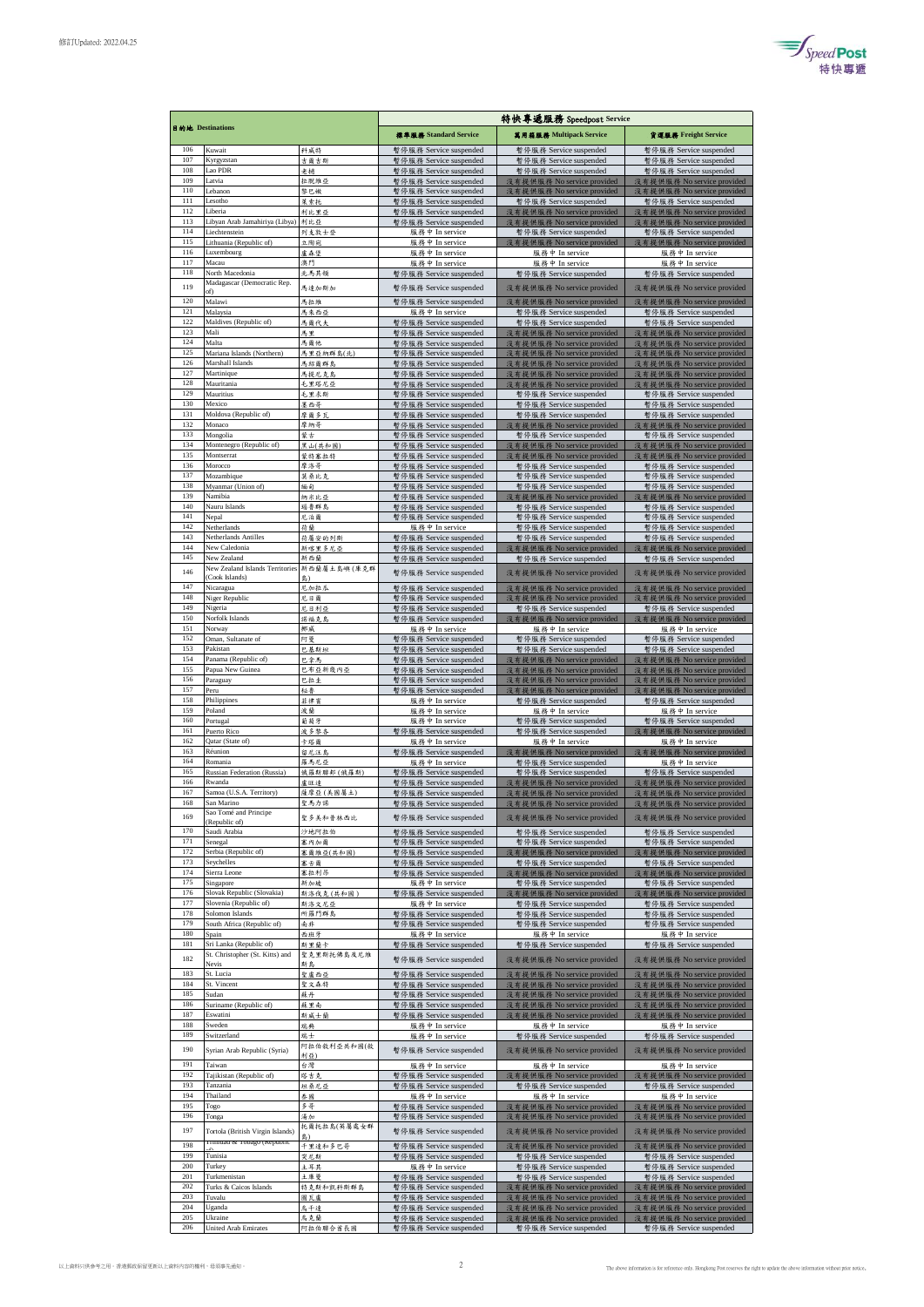

|            |                                                            |                    | 特快專遞服務 Speedpost Service                         |                                                          |                                                          |  |
|------------|------------------------------------------------------------|--------------------|--------------------------------------------------|----------------------------------------------------------|----------------------------------------------------------|--|
|            | 目的地 Destinations                                           |                    | 標準服務 Standard Service                            | 萬用箱服務 Multipack Service                                  | 貨運服務 Freight Service                                     |  |
| 106        | Kuwait                                                     | 科威特                | 暫停服務 Service suspended                           | 暫停服務 Service suspended                                   | 暫停服務 Service suspended                                   |  |
| 107        | Kyrgyzstan                                                 | 吉爾吉斯               | 暫停服務 Service suspended                           | 暫停服務 Service suspended                                   | 暫停服務 Service suspended                                   |  |
| 108<br>109 | Lao PDR<br>Latvia                                          | 老撾<br>拉脱维亞         | 暫停服務 Service suspended<br>暫停服務 Service suspended | 暫停服務 Service suspended<br>沒有提供服務 No service provided     | 暫停服務 Service suspended<br>沒有提供服務 No service provided     |  |
| 110        | Lebanon                                                    | 黎巴嫩                | 暫停服務 Service suspended                           | 沒有提供服務 No service provided                               | 沒有提供服務 No service provided                               |  |
| 111<br>112 | Lesotho                                                    | 萊索托                | 暫停服務 Service suspended                           | 暫停服務 Service suspended                                   | 暫停服務 Service suspended                                   |  |
| 113        | Liberia<br>Libyan Arab Jamahiriya (Libya)                  | 利比里亞<br>利比亞        | 暫停服務 Service suspended<br>暫停服務 Service suspended | 沒有提供服務 No service provided<br>沒有提供服務 No service provided | 沒有提供服務 No service provided<br>沒有提供服務 No service provided |  |
| 114        | Liechtenstein                                              | 列支敦士登              | 服務中 In service                                   | 暫停服務 Service suspended                                   | 暫停服務 Service suspended                                   |  |
| 115<br>116 | Lithuania (Republic of)<br>Luxembourg                      | 立陶宛<br>盧森堡         | 服務中 In service<br>服務中 In service                 | 沒有提供服務 No service provided<br>服務中 In service             | 沒有提供服務 No service provided<br>服務中 In service             |  |
| 117        | Macau                                                      | 澳門                 | 服務中 In service                                   | 服務中 In service                                           | 服務中 In service                                           |  |
| 118        | North Macedonia<br>Madagascar (Democratic Rep.             | 北馬其頓               | 暫停服務 Service suspended                           | 暫停服務 Service suspended                                   | 暫停服務 Service suspended                                   |  |
| 119        | of)                                                        | 馬達加斯加              | 暫停服務 Service suspended                           | 沒有提供服務 No service provided                               | 沒有提供服務 No service provided                               |  |
| 120        | Malawi                                                     | 馬拉維                | 暫停服務 Service suspended                           | 沒有提供服務 No service provided                               | 沒有提供服務 No service provided                               |  |
| 121<br>122 | Malaysia<br>Maldives (Republic of)                         | 馬來西亞<br>馬爾代夫       | 服務中 In service<br>暫停服務 Service suspended         | 暫停服務 Service suspended<br>暫停服務 Service suspended         | 暫停服務 Service suspended<br>暫停服務 Service suspended         |  |
| 123        | Mali                                                       | 馬里                 | 暫停服務 Service suspended                           | 沒有提供服務 No service provided                               | 沒有提供服務 No service provided                               |  |
| 124<br>125 | Malta<br>Mariana Islands (Northern)                        | 馬爾他<br>馬里亞納群島(北)   | 暫停服務 Service suspended<br>暫停服務 Service suspended | 沒有提供服務 No service provided<br>沒有提供服務 No service provided | 沒有提供服務 No service provided<br>沒有提供服務 No service provided |  |
| 126        | Marshall Islands                                           | 马绍爾群島              | 暫停服務 Service suspended                           | 沒有提供服務 No service provided                               | 沒有提供服務 No service provided                               |  |
| 127        | Martinique                                                 | 馬提尼克島              | 暫停服務 Service suspended                           | 沒有提供服務 No service provided                               | 沒有提供服務 No service provided                               |  |
| 128<br>129 | Mauritania<br>Mauritius                                    | 毛里塔尼亞<br>毛里求斯      | 暫停服務 Service suspended<br>暫停服務 Service suspended | 沒有提供服務 No service provided<br>暫停服務 Service suspended     | 沒有提供服務 No service provided<br>暫停服務 Service suspended     |  |
| 130        | Mexico                                                     | 墨西哥                | 暫停服務 Service suspended                           | 暫停服務 Service suspended                                   | 暫停服務 Service suspended                                   |  |
| 131<br>132 | Moldova (Republic of)<br>Monaco                            | 摩爾多瓦               | 暫停服務 Service suspended                           | 暫停服務 Service suspended                                   | 暫停服務 Service suspended                                   |  |
| 133        | Mongolia                                                   | 摩納哥<br>蒙古          | 暫停服務 Service suspended<br>暫停服務 Service suspended | 沒有提供服務 No service provided<br>暫停服務 Service suspended     | 沒有提供服務 No service provided<br>暫停服務 Service suspended     |  |
| 134        | Montenegro (Republic of)                                   | 黑山(共和國)            | 暫停服務 Service suspended                           | 沒有提供服務 No service provided                               | 沒有提供服務 No service provided                               |  |
| 135<br>136 | Montserrat<br>Morocco                                      | 蒙特塞拉特<br>摩洛哥       | 暫停服務 Service suspended<br>暫停服務 Service suspended | 沒有提供服務 No service provided<br>暫停服務 Service suspended     | 沒有提供服務 No service provided<br>暫停服務 Service suspended     |  |
| 137        | Mozambique                                                 | 莫桑比克               | 暫停服務 Service suspended                           | 暫停服務 Service suspended                                   | 暫停服務 Service suspended                                   |  |
| 138        | Myanmar (Union of)                                         | 缅甸                 | 暫停服務 Service suspended                           | 暫停服務 Service suspended                                   | 暫停服務 Service suspended                                   |  |
| 139<br>140 | Namibia<br>Nauru Islands                                   | 纳米比亞<br>瑙鲁群岛       | 暫停服務 Service suspended<br>暫停服務 Service suspended | 沒有提供服務 No service provided<br>暫停服務 Service suspended     | 沒有提供服務 No service provided<br>暫停服務 Service suspended     |  |
| 141        | Nepal                                                      | 尼泊爾                | 暫停服務 Service suspended                           | 暫停服務 Service suspended                                   | 暫停服務 Service suspended                                   |  |
| 142        | Netherlands                                                | 荷蘭                 | 服務中 In service                                   | 暫停服務 Service suspended                                   | 暫停服務 Service suspended                                   |  |
| 143<br>144 | Netherlands Antilles<br>New Caledonia                      | 荷屬安的列斯<br>新喀里多尼亞   | 暫停服務 Service suspended<br>暫停服務 Service suspended | 暫停服務 Service suspended<br>沒有提供服務 No service provided     | 暫停服務 Service suspended<br>沒有提供服務 No service provided     |  |
| 145        | New Zealand                                                | 新西蘭                | 暫停服務 Service suspended                           | 暫停服務 Service suspended                                   | 暫停服務 Service suspended                                   |  |
| 146        | New Zealand Islands Territories                            | 新西蘭屬土島嶼(庫克群        | 暫停服務 Service suspended                           | 沒有提供服務 No service provided                               | 沒有提供服務 No service provided                               |  |
| 147        | (Cook Islands)<br>Nicaragua                                | 島)<br>尼加拉瓜         | 暫停服務 Service suspended                           | 沒有提供服務 No service provided                               | 沒有提供服務 No service provided                               |  |
| 148        | Niger Republic                                             | 尼日爾                | 暫停服務 Service suspended                           | 沒有提供服務 No service provided                               | 沒有提供服務 No service provided                               |  |
| 149<br>150 | Nigeria<br>Norfolk Islands                                 | 尼日利亞               | 暫停服務 Service suspended                           | 暫停服務 Service suspended                                   | 暫停服務 Service suspended                                   |  |
| 151        | Norway                                                     | 諾福克島<br>挪威         | 暫停服務 Service suspended<br>服務中 In service         | 沒有提供服務 No service provided<br>服務中 In service             | 沒有提供服務 No service provided<br>服務中 In service             |  |
| 152        | Oman, Sultanate of                                         | 阿曼                 | 暫停服務 Service suspended                           | 暫停服務 Service suspended                                   | 暂停服務 Service suspended                                   |  |
| 153<br>154 | Pakistan<br>Panama (Republic of)                           | 巴基斯坦               | 暫停服務 Service suspended                           | 暫停服務 Service suspended                                   | 暫停服務 Service suspended                                   |  |
| 155        | Papua New Guinea                                           | 巴拿馬<br>巴布亞新幾內亞     | 暫停服務 Service suspended<br>暫停服務 Service suspended | 沒有提供服務 No service provided<br>沒有提供服務 No service provided | 沒有提供服務 No service provided<br>沒有提供服務 No service provided |  |
| 156        | Paraguay                                                   | 巴拉圭                | 暫停服務 Service suspended                           | 沒有提供服務 No service provided                               | 沒有提供服務 No service provided                               |  |
| 157<br>158 | Peru<br>Philippines                                        | 秘魯<br>菲律賓          | 暫停服務 Service suspended<br>服務中 In service         | 沒有提供服務 No service provided<br>暫停服務 Service suspended     | 沒有提供服務 No service provided<br>暫停服務 Service suspended     |  |
| 159        | Poland                                                     | 波蘭                 | 服務中 In service                                   | 服務中 In service                                           | 服務中 In service                                           |  |
| 160        | Portugal                                                   | 葡萄牙                | 服務中 In service                                   | 暫停服務 Service suspended                                   | 暫停服務 Service suspended                                   |  |
| 161<br>162 | Puerto Rico<br>Qatar (State of)                            | 波多黎各<br>卡塔爾        | 暫停服務 Service suspended<br>服務中 In service         | 暫停服務 Service suspended<br>服務中 In service                 | 沒有提供服務 No service provided<br>服務中 In service             |  |
| 163        | Réunion                                                    | 留尼汪島               | 暫停服務 Service suspended                           | 沒有提供服務 No service provided                               | 沒有提供服務 No service provided                               |  |
| 164        | Romania                                                    | 羅馬尼亞               | 服務中 In service                                   | 暫停服務 Service suspended                                   | 服務中 In service                                           |  |
| 165<br>166 | Russian Federation (Russia)<br>Rwanda                      | 俄羅斯聯邦 (俄羅斯)<br>盧旺達 | 暫停服務 Service suspended<br>暫停服務 Service suspended | 暫停服務 Service suspended<br>沒有提供服務 No service provided     | 暫停服務 Service suspended<br>沒有提供服務 No service provided     |  |
| 167        | Samoa (U.S.A. Territory)                                   | 薩摩亞(美國屬土)          | 暫停服務 Service suspended                           | 沒有提供服務 No service provided                               | 沒有提供服務 No service provided                               |  |
| 168        | San Marino                                                 | 聖馬力諾               | 暫停服務 Service suspended                           | 沒有提供服務 No service provided                               | 沒有提供服務 No service provided                               |  |
| 169        | Sao Tomé and Principe<br>(Republic of)                     | 聖多美和普林西比           | 暫停服務 Service suspended                           | 沒有提供服務 No service provided                               | 沒有提供服務 No service provided                               |  |
| 170        | Saudi Arabia                                               | 沙地阿拉伯              | 暫停服務 Service suspended                           | 暫停服務 Service suspended                                   | 暫停服務 Service suspended                                   |  |
| 171<br>172 | Senegal<br>Serbia (Republic of)                            | 塞内加爾<br>塞爾維亞(共和國)  | 暫停服務 Service suspended<br>暫停服務 Service suspended | 暫停服務 Service suspended<br>沒有提供服務 No service provided     | 暫停服務 Service suspended<br>沒有提供服務 No service provided     |  |
| 173        | Seychelles                                                 | 塞舌爾                | 暂停服務 Service suspended                           | 暫停服務 Service suspended                                   | 暫停服務 Service suspended                                   |  |
| 174        | Sierra Leone                                               | 塞拉利昂               | 暫停服務 Service suspended                           | 沒有提供服務 No service provided                               | 沒有提供服務 No service provided                               |  |
| 175<br>176 | Singapore<br>Slovak Republic (Slovakia)                    | 新加坡<br>斯洛伐克(共和國)   | 服務中 In service<br>暫停服務 Service suspended         | 暫停服務 Service suspended<br>沒有提供服務 No service provided     | 暫停服務 Service suspended<br>沒有提供服務 No service provided     |  |
| 177        | Slovenia (Republic of)                                     | 斯洛文尼亞              | 服務中 In service                                   | 暫停服務 Service suspended                                   | 暫停服務 Service suspended                                   |  |
| 178<br>179 | Solomon Islands<br>South Africa (Republic of)              | 所羅門群島<br>南非        | 暂停服務 Service suspended<br>暫停服務 Service suspended | 暂停服務 Service suspended<br>暫停服務 Service suspended         | 暫停服務 Service suspended<br>暫停服務 Service suspended         |  |
| 180        | Spain                                                      | 西班牙                | 服務中 In service                                   | 服務中 In service                                           | 服務中 In service                                           |  |
| 181        | Sri Lanka (Republic of)<br>St. Christopher (St. Kitts) and | 斯里蘭卡               | 暫停服務 Service suspended                           | 暫停服務 Service suspended                                   | 暫停服務 Service suspended                                   |  |
| 182        |                                                            | 聖克里斯托佛島及尼維         | 暫停服務 Service suspended                           |                                                          | 沒有提供服務 No service provided                               |  |
| 183        | <b>Nevis</b>                                               | 斯島                 |                                                  | 沒有提供服務 No service provided                               |                                                          |  |
| 184        | St. Lucia                                                  | 聖盧西亞               | 暫停服務 Service suspended                           | 沒有提供服務 No service provided                               | 沒有提供服務 No service provided                               |  |
|            | St. Vincent                                                | 聖文森特               | 暫停服務 Service suspended                           | 沒有提供服務 No service provided                               | 沒有提供服務 No service provided                               |  |
| 185<br>186 | Sudan<br>Suriname (Republic of)                            | 蘇丹<br>蘇里南          | 暫停服務 Service suspended<br>暫停服務 Service suspended | 沒有提供服務 No service provided<br>沒有提供服務 No service provided | 沒有提供服務 No service provided<br>沒有提供服務 No service provided |  |
| 187        | Eswatini                                                   | 斯威士蘭               | 暫停服務 Service suspended                           | 沒有提供服務 No service provided                               | 沒有提供服務 No service provided                               |  |
| 188<br>189 | Sweden                                                     | 瑞典                 | 服務中 In service                                   | 服務中 In service                                           | 服務中 In service                                           |  |
|            | Switzerland                                                | 瑞士<br>阿拉伯敘利亞共和國(敘  | 服務中 In service                                   | 暫停服務 Service suspended                                   | 暫停服務 Service suspended                                   |  |
| 190        | Syrian Arab Republic (Syria)                               | 利亞)                | 暫停服務 Service suspended                           | 沒有提供服務 No service provided                               | 沒有提供服務 No service provided                               |  |
| 191<br>192 | Taiwan<br>Tajikistan (Republic of)                         | 台灣<br>塔吉克          | 服務中 In service<br>暫停服務 Service suspended         | 服務中 In service<br>沒有提供服務 No service provided             | 服務中 In service<br>沒有提供服務 No service provided             |  |
| 193        | Tanzania                                                   | 坦桑尼亞               | 暫停服務 Service suspended                           | 暫停服務 Service suspended                                   | 暫停服務 Service suspended                                   |  |
| 194        | Thailand                                                   | 泰國                 | 服務中 In service                                   | 服務中 In service                                           | 服務中 In service                                           |  |
| 195<br>196 | Togo<br>Tonga                                              | 多哥<br>湯加           | 暫停服務 Service suspended<br>暫停服務 Service suspended | 沒有提供服務 No service provided<br>沒有提供服務 No service provided | 沒有提供服務 No service provided<br>沒有提供服務 No service provided |  |
| 197        | Tortola (British Virgin Islands)                           | 托爾托拉島(英屬處女群        |                                                  |                                                          |                                                          |  |
| 198        | ггинаан & торадо (керион                                   | 島)                 | 暫停服務 Service suspended                           | 沒有提供服務 No service provided                               | 沒有提供服務 No service provided                               |  |
| 199        | Tunisia                                                    | 千里達和多巴哥<br>突尼斯     | 暫停服務 Service suspended<br>暫停服務 Service suspended | 沒有提供服務 No service provided<br>暫停服務 Service suspended     | 沒有提供服務 No service provided<br>暫停服務 Service suspended     |  |
| 200        | Turkey                                                     | 土耳其                | 服務中 In service                                   | 暫停服務 Service suspended                                   | 暫停服務 Service suspended                                   |  |
| 201<br>202 | Turkmenistan<br>Turks & Caicos Islands                     | 土庫曼<br>特克斯和凯科斯群島   | 暫停服務 Service suspended                           | 暂停服務 Service suspended                                   | 暂停服務 Service suspended                                   |  |
| 203        | Tuvalu                                                     | 圖瓦盧                | 暫停服務 Service suspended<br>暫停服務 Service suspended | 沒有提供服務 No service provided<br>沒有提供服務 No service provided | 沒有提供服務 No service provided<br>沒有提供服務 No service provided |  |
| 204<br>205 | Uganda<br>Ukraine                                          | 烏干達<br>鳥克蘭         | 暫停服務 Service suspended<br>暫停服務 Service suspended | 沒有提供服務 No service provided<br>沒有提供服務 No service provided | 沒有提供服務 No service provided<br>沒有提供服務 No service provided |  |